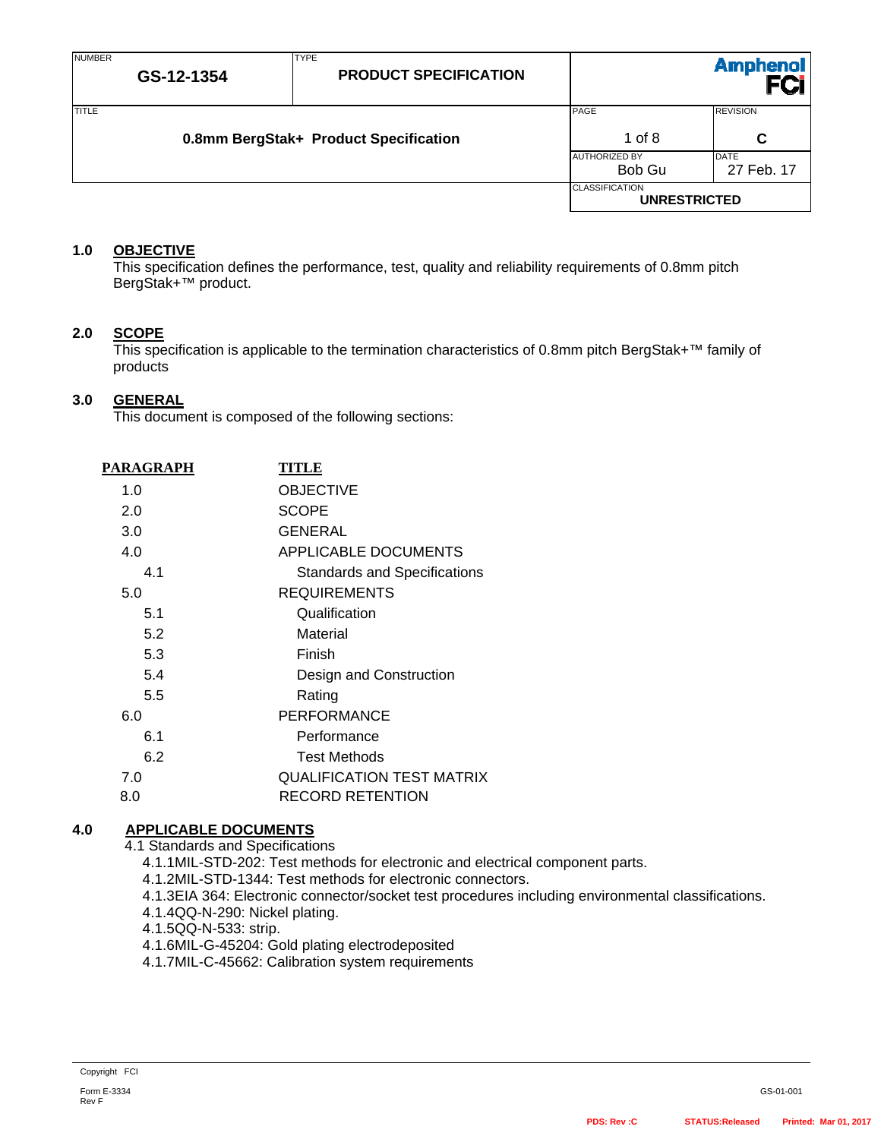| <b>NUMBER</b> | GS-12-1354 | <b>TYPE</b><br><b>PRODUCT SPECIFICATION</b> |                                              | <b>Amphenol</b>           |
|---------------|------------|---------------------------------------------|----------------------------------------------|---------------------------|
| <b>TITLE</b>  |            | 0.8mm BergStak+ Product Specification       | PAGE<br>1 of 8                               | <b>REVISION</b><br>C      |
|               |            |                                             | <b>AUTHORIZED BY</b><br>Bob Gu               | <b>DATE</b><br>27 Feb. 17 |
|               |            |                                             | <b>CLASSIFICATION</b><br><b>UNRESTRICTED</b> |                           |

## **1.0 OBJECTIVE**

This specification defines the performance, test, quality and reliability requirements of 0.8mm pitch BergStak+™ product.

## **2.0 SCOPE**

This specification is applicable to the termination characteristics of 0.8mm pitch BergStak+™ family of products

## **3.0 GENERAL**

This document is composed of the following sections:

| PARAGRAPH | <b>TITLE</b>                        |
|-----------|-------------------------------------|
| 1.0       | <b>OBJECTIVE</b>                    |
| 2.0       | <b>SCOPE</b>                        |
| 3.0       | GENERAL                             |
| 4.0       | APPLICABLE DOCUMENTS                |
| 4.1       | <b>Standards and Specifications</b> |
| 5.0       | <b>REQUIREMENTS</b>                 |
| 5.1       | Qualification                       |
| 5.2       | Material                            |
| 5.3       | Finish                              |
| 5.4       | Design and Construction             |
| 5.5       | Rating                              |
| 6.0       | <b>PERFORMANCE</b>                  |
| 6.1       | Performance                         |
| 6.2       | <b>Test Methods</b>                 |
| 7.0       | <b>QUALIFICATION TEST MATRIX</b>    |
| 8.0       | RECORD RETENTION                    |

# **4.0 APPLICABLE DOCUMENTS**

4.1 Standards and Specifications

4.1.1 MIL-STD-202: Test methods for electronic and electrical component parts.

- 4.1.2 MIL-STD-1344: Test methods for electronic connectors.
- 4.1.3 EIA 364: Electronic connector/socket test procedures including environmental classifications.
- 4.1.4 QQ-N-290: Nickel plating.
- 4.1.5 Q Q N 533: strip.
- 4.1.6 MIL-G-45204: Gold plating electrodeposited
- 4.1.7 MIL-C-45662: Calibration system requirements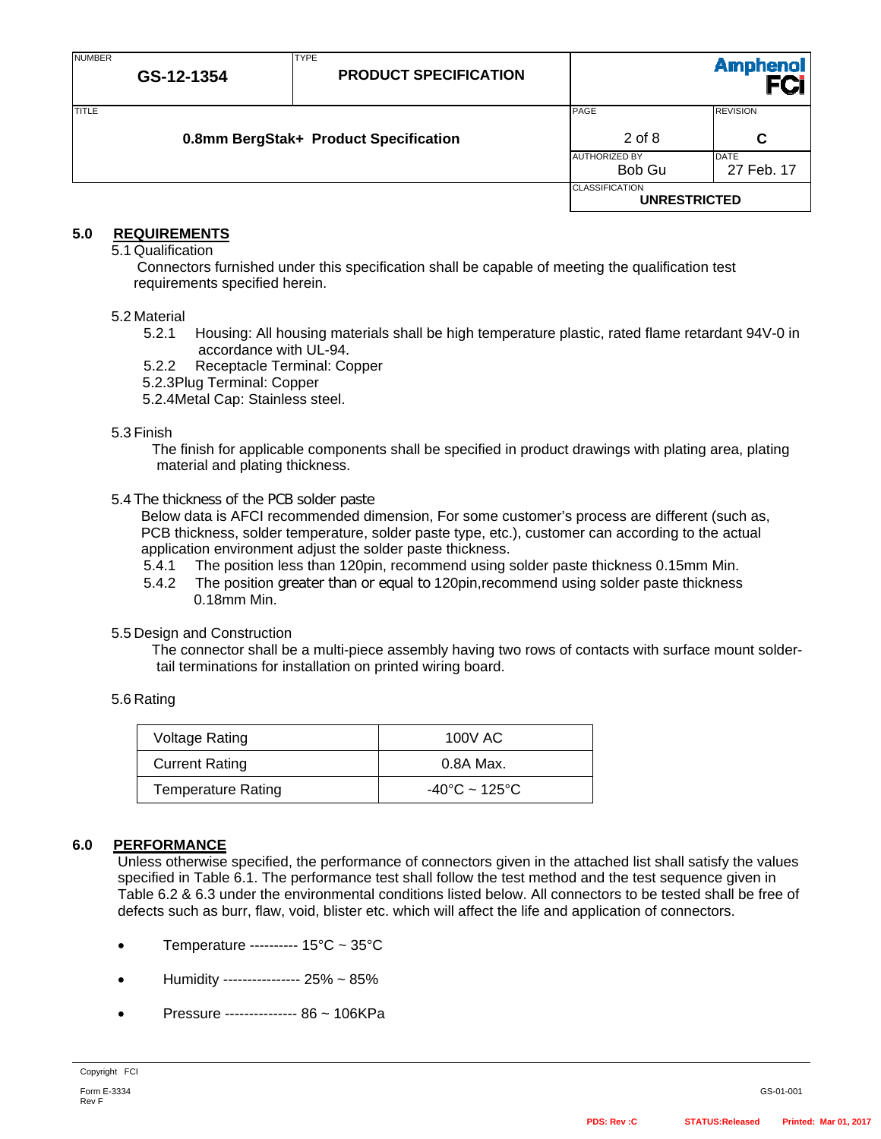| <b>NUMBER</b> | GS-12-1354 | <b>TYPE</b><br><b>PRODUCT SPECIFICATION</b> |                                              | Amphenol<br>FCi      |
|---------------|------------|---------------------------------------------|----------------------------------------------|----------------------|
| <b>TITLE</b>  |            | 0.8mm BergStak+ Product Specification       | PAGE<br>$2$ of 8                             | <b>REVISION</b><br>C |
|               |            |                                             | <b>AUTHORIZED BY</b><br>Bob Gu               | DATE<br>27 Feb. 17   |
|               |            |                                             | <b>CLASSIFICATION</b><br><b>UNRESTRICTED</b> |                      |

# **5.0 REQUIREMENTS**

5.1 Qualification

Connectors furnished under this specification shall be capable of meeting the qualification test requirements specified herein.

#### 5.2 Material

- 5.2.1 Housing: All housing materials shall be high temperature plastic, rated flame retardant 94V-0 in accordance with UL-94.
- 5.2.2 Receptacle Terminal: Copper
- 5.2.3 Plug Terminal: Copper

5.2.4 Metal Cap: Stainless steel.

#### 5.3 Finish

The finish for applicable components shall be specified in product drawings with plating area, plating material and plating thickness.

#### 5.4 The thickness of the PCB solder paste

Below data is AFCI recommended dimension, For some customer's process are different (such as, PCB thickness, solder temperature, solder paste type, etc.), customer can according to the actual application environment adjust the solder paste thickness.

- 5.4.1 The position less than 120pin, recommend using solder paste thickness 0.15mm Min.
- 5.4.2 The position greater than or equal to 120pin,recommend using solder paste thickness 0.18mm Min.

#### 5.5 Design and Construction

The connector shall be a multi-piece assembly having two rows of contacts with surface mount soldertail terminations for installation on printed wiring board.

#### 5.6 Rating

| Voltage Rating        | 100V AC                            |
|-----------------------|------------------------------------|
| <b>Current Rating</b> | 0.8A Max.                          |
| Temperature Rating    | $-40^{\circ}$ C ~ 125 $^{\circ}$ C |

## **6.0 PERFORMANCE**

Unless otherwise specified, the performance of connectors given in the attached list shall satisfy the values specified in Table 6.1. The performance test shall follow the test method and the test sequence given in Table 6.2 & 6.3 under the environmental conditions listed below. All connectors to be tested shall be free of defects such as burr, flaw, void, blister etc. which will affect the life and application of connectors.

- Temperature ---------- 15°C ~ 35°C
- Humidity ---------------- 25% ~ 85%
- Pressure --------------- 86 ~ 106KPa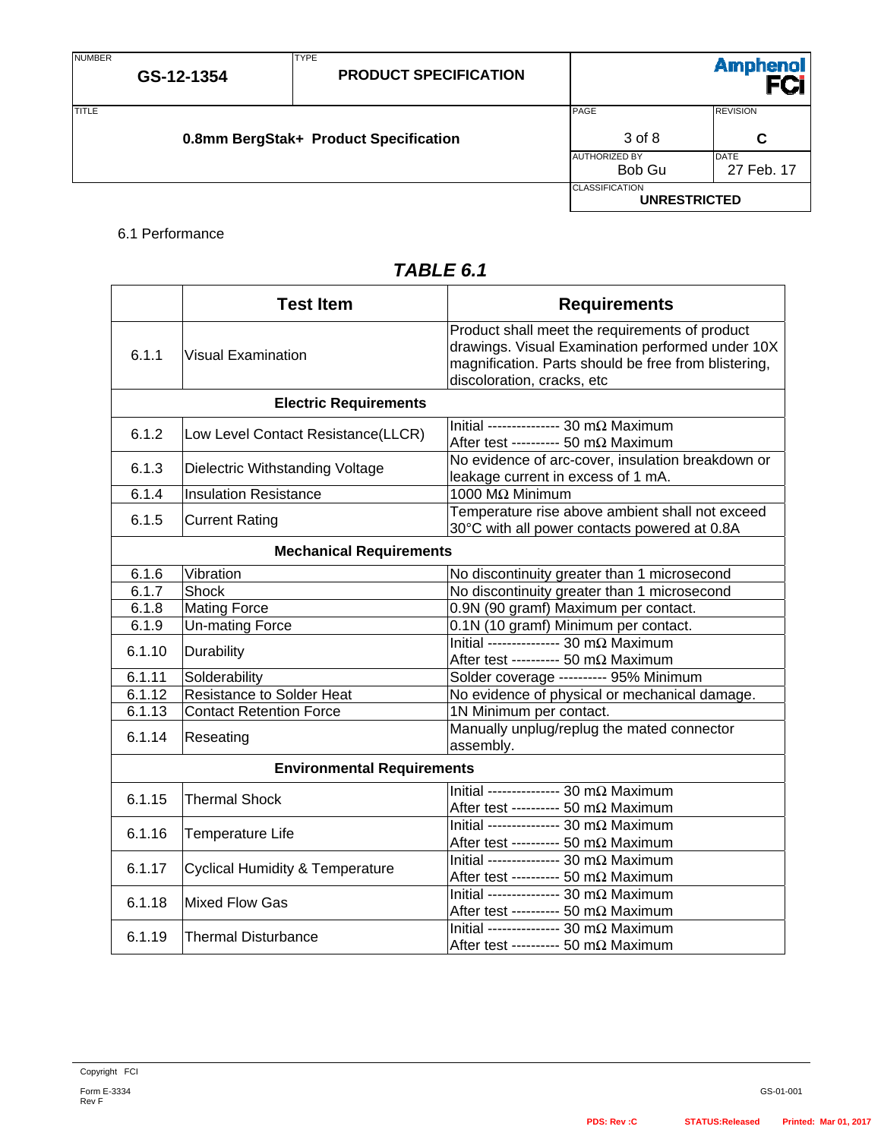NUMBER

27 Feb. 17

**UNRESTRICTED** 

**CLASSIFICATION** 

| TITLE |                                       | PAGE                 | <b>REVISION</b> |
|-------|---------------------------------------|----------------------|-----------------|
|       | 0.8mm BergStak+ Product Specification | 3 of 8               | C               |
|       |                                       | <b>AUTHORIZED BY</b> | <b>DATE</b>     |
|       |                                       | Bob Gu               | Feb             |

TYPE

## 6.1 Performance

| TABLE 6.1 |  |
|-----------|--|
|-----------|--|

|        | <b>Test Item</b>                           | <b>Requirements</b>                                                                                                                                                                      |
|--------|--------------------------------------------|------------------------------------------------------------------------------------------------------------------------------------------------------------------------------------------|
| 6.1.1  | <b>Visual Examination</b>                  | Product shall meet the requirements of product<br>drawings. Visual Examination performed under 10X<br>magnification. Parts should be free from blistering,<br>discoloration, cracks, etc |
|        | <b>Electric Requirements</b>               |                                                                                                                                                                                          |
| 6.1.2  | Low Level Contact Resistance(LLCR)         | Initial --------------- 30 m $\Omega$ Maximum<br>After test ---------- 50 m $\Omega$ Maximum                                                                                             |
| 6.1.3  | Dielectric Withstanding Voltage            | No evidence of arc-cover, insulation breakdown or<br>leakage current in excess of 1 mA.                                                                                                  |
| 6.1.4  | <b>Insulation Resistance</b>               | 1000 MΩ Minimum                                                                                                                                                                          |
| 6.1.5  | <b>Current Rating</b>                      | Temperature rise above ambient shall not exceed<br>30°C with all power contacts powered at 0.8A                                                                                          |
|        | <b>Mechanical Requirements</b>             |                                                                                                                                                                                          |
| 6.1.6  | Vibration                                  | No discontinuity greater than 1 microsecond                                                                                                                                              |
| 6.1.7  | Shock                                      | No discontinuity greater than 1 microsecond                                                                                                                                              |
| 6.1.8  | <b>Mating Force</b>                        | 0.9N (90 gramf) Maximum per contact.                                                                                                                                                     |
| 6.1.9  | <b>Un-mating Force</b>                     | 0.1N (10 gramf) Minimum per contact.                                                                                                                                                     |
| 6.1.10 | Durability                                 | Initial --------------- 30 m $\Omega$ Maximum<br>After test ---------- 50 m $\Omega$ Maximum                                                                                             |
| 6.1.11 | Solderability                              | Solder coverage ---------- 95% Minimum                                                                                                                                                   |
| 6.1.12 | <b>Resistance to Solder Heat</b>           | No evidence of physical or mechanical damage.                                                                                                                                            |
| 6.1.13 | <b>Contact Retention Force</b>             | 1N Minimum per contact.                                                                                                                                                                  |
| 6.1.14 | Reseating                                  | Manually unplug/replug the mated connector<br>assembly.                                                                                                                                  |
|        | <b>Environmental Requirements</b>          |                                                                                                                                                                                          |
| 6.1.15 | <b>Thermal Shock</b>                       | Initial --------------- 30 m $\Omega$ Maximum<br>After test ---------- 50 m $\Omega$ Maximum                                                                                             |
| 6.1.16 | Temperature Life                           | Initial --------------- 30 m $\Omega$ Maximum<br>After test ---------- 50 m $\Omega$ Maximum                                                                                             |
| 6.1.17 | <b>Cyclical Humidity &amp; Temperature</b> | Initial --------------- 30 m $\Omega$ Maximum<br>After test ---------- 50 m $\Omega$ Maximum                                                                                             |
| 6.1.18 | Mixed Flow Gas                             | Initial --------------- 30 m $\Omega$ Maximum<br>After test ---------- 50 m $\Omega$ Maximum                                                                                             |
| 6.1.19 | <b>Thermal Disturbance</b>                 | Initial --------------- 30 m $\Omega$ Maximum<br>After test ---------- 50 m $\Omega$ Maximum                                                                                             |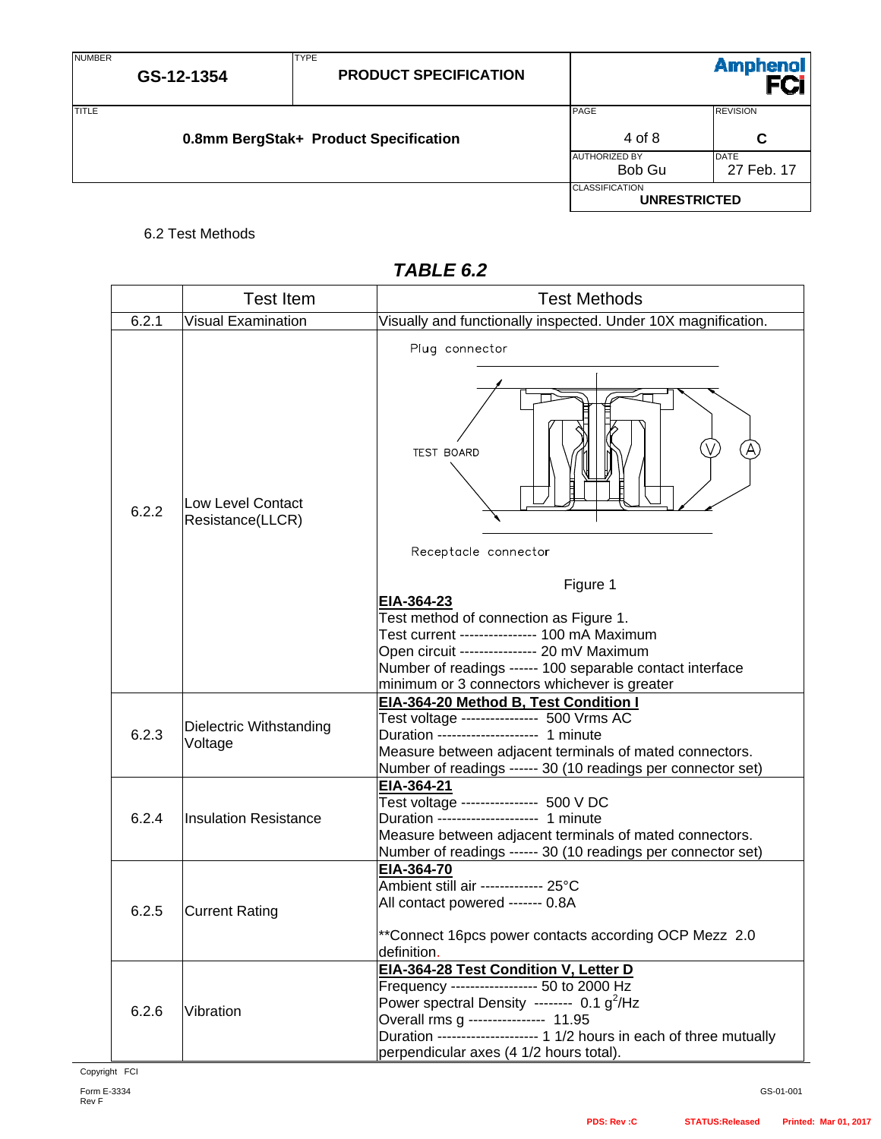| <b>NUMBER</b> | GS-12-1354                            | <b>TYPE</b><br><b>PRODUCT SPECIFICATION</b> |                                              | <b>Amphenol</b>           |
|---------------|---------------------------------------|---------------------------------------------|----------------------------------------------|---------------------------|
| <b>TITLE</b>  | 0.8mm BergStak+ Product Specification |                                             | <b>PAGE</b><br>4 of 8                        | <b>REVISION</b><br>С      |
|               |                                       |                                             | <b>AUTHORIZED BY</b><br>Bob Gu               | <b>DATE</b><br>27 Feb. 17 |
|               |                                       |                                             | <b>CLASSIFICATION</b><br><b>UNRESTRICTED</b> |                           |

# 6.2 Test Methods

|       | <b>Test Item</b>                             | <b>Test Methods</b>                                                                                                                                                                                                                                                                           |
|-------|----------------------------------------------|-----------------------------------------------------------------------------------------------------------------------------------------------------------------------------------------------------------------------------------------------------------------------------------------------|
| 6.2.1 | <b>Visual Examination</b>                    | Visually and functionally inspected. Under 10X magnification.                                                                                                                                                                                                                                 |
| 6.2.2 | <b>Low Level Contact</b><br>Resistance(LLCR) | Plug connector<br><b>TEST BOARD</b><br>Receptacle connector<br>Figure 1<br>EIA-364-23<br>Test method of connection as Figure 1.<br>Test current --------------- 100 mA Maximum<br>Open circuit ---------------- 20 mV Maximum                                                                 |
|       |                                              | Number of readings ------ 100 separable contact interface<br>minimum or 3 connectors whichever is greater<br>EIA-364-20 Method B, Test Condition I                                                                                                                                            |
| 6.2.3 | Dielectric Withstanding<br>Voltage           | Test voltage ---------------- 500 Vrms AC<br>Duration -------------------- 1 minute<br>Measure between adjacent terminals of mated connectors.<br>Number of readings ------ 30 (10 readings per connector set)                                                                                |
| 6.2.4 | <b>Insulation Resistance</b>                 | EIA-364-21<br>Test voltage ---------------- 500 V DC<br>Duration -------------------- 1 minute<br>Measure between adjacent terminals of mated connectors.<br>Number of readings ------ 30 (10 readings per connector set)                                                                     |
| 6.2.5 | <b>Current Rating</b>                        | EIA-364-70<br>Ambient still air ------------- 25°C<br>All contact powered ------- 0.8A<br>**Connect 16pcs power contacts according OCP Mezz 2.0<br>definition.                                                                                                                                |
| 6.2.6 | Vibration                                    | EIA-364-28 Test Condition V, Letter D<br>Frequency ------------------ 50 to 2000 Hz<br>Power spectral Density -------- 0.1 $g^2$ /Hz<br>Overall rms g --------------- 11.95<br>Duration -------------------- 1 1/2 hours in each of three mutually<br>perpendicular axes (4 1/2 hours total). |

# *TABLE 6.2*

GS-01-001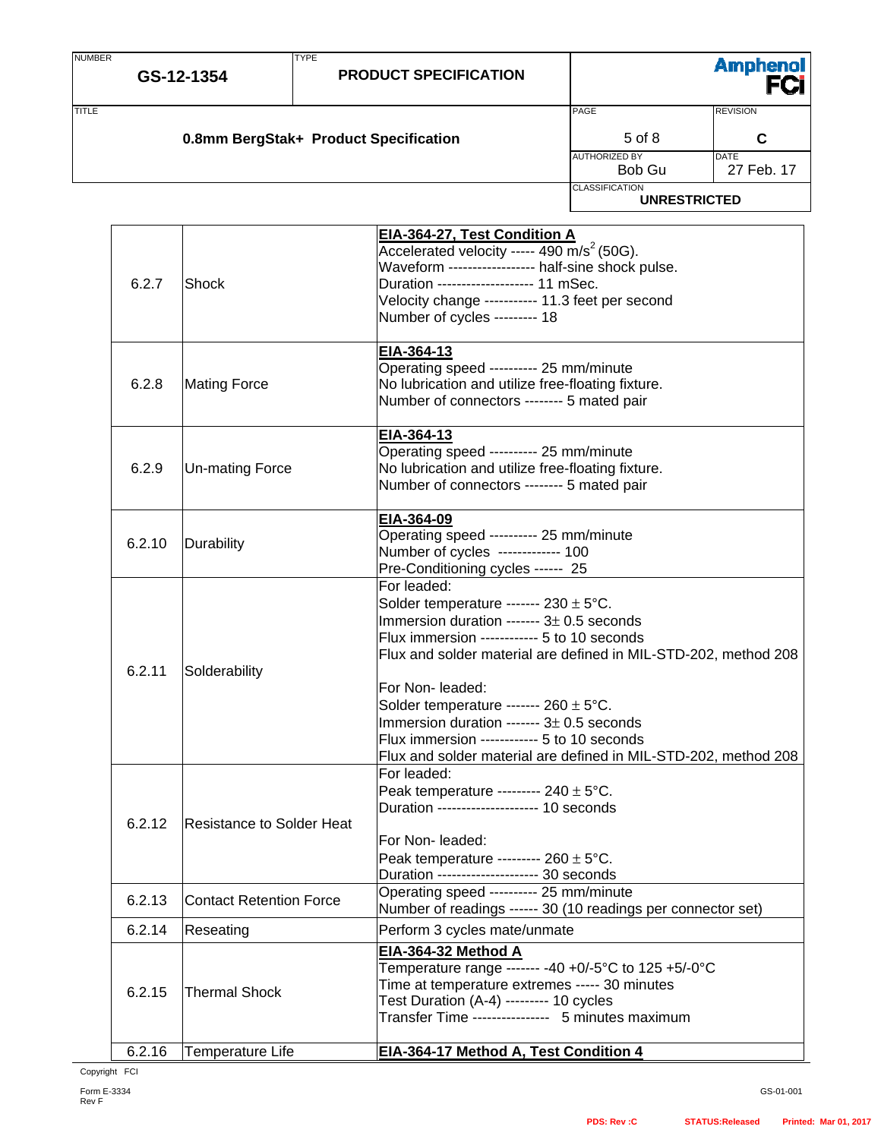| <b>NUMBER</b> | GS-12-1354 | <b>TYPE</b><br><b>PRODUCT SPECIFICATION</b> |                                            | Amphenol<br>FCi           |
|---------------|------------|---------------------------------------------|--------------------------------------------|---------------------------|
| <b>TITLE</b>  |            | 0.8mm BergStak+ Product Specification       | PAGE<br><b>REVISION</b><br>$5$ of $8$<br>C |                           |
|               |            |                                             | <b>AUTHORIZED BY</b><br>Bob Gu             | <b>DATE</b><br>27 Feb. 17 |
|               |            |                                             | <b>CLASSIFICATION</b>                      | <b>UNRESTRICTED</b>       |

| 6.2.7  | Shock                          | EIA-364-27, Test Condition A<br>Accelerated velocity ----- 490 m/s <sup>2</sup> (50G).<br>Waveform ------------------ half-sine shock pulse.<br>Duration -------------------- 11 mSec.<br>Velocity change ---------- 11.3 feet per second<br>Number of cycles --------- 18                                                                                                                                                                                                      |
|--------|--------------------------------|---------------------------------------------------------------------------------------------------------------------------------------------------------------------------------------------------------------------------------------------------------------------------------------------------------------------------------------------------------------------------------------------------------------------------------------------------------------------------------|
| 6.2.8  | <b>Mating Force</b>            | EIA-364-13<br>Operating speed --------- 25 mm/minute<br>No lubrication and utilize free-floating fixture.<br>Number of connectors -------- 5 mated pair                                                                                                                                                                                                                                                                                                                         |
| 6.2.9  | <b>Un-mating Force</b>         | EIA-364-13<br>Operating speed ---------- 25 mm/minute<br>No lubrication and utilize free-floating fixture.<br>Number of connectors -------- 5 mated pair                                                                                                                                                                                                                                                                                                                        |
| 6.2.10 | Durability                     | EIA-364-09<br>Operating speed --------- 25 mm/minute<br>Number of cycles ------------ 100<br>Pre-Conditioning cycles ------ 25                                                                                                                                                                                                                                                                                                                                                  |
| 6.2.11 | Solderability                  | For leaded:<br>Solder temperature ------- $230 \pm 5^{\circ}$ C.<br>Immersion duration ------- $3\pm$ 0.5 seconds<br>Flux immersion ------------ 5 to 10 seconds<br>Flux and solder material are defined in MIL-STD-202, method 208<br>For Non- leaded:<br>Solder temperature ------- $260 \pm 5^{\circ}$ C.<br>Immersion duration ------- $3\pm$ 0.5 seconds<br>Flux immersion ------------ 5 to 10 seconds<br>Flux and solder material are defined in MIL-STD-202, method 208 |
| 6.2.12 | Resistance to Solder Heat      | For leaded:<br>Peak temperature --------- $240 \pm 5^{\circ}$ C.<br>Duration -------------------- 10 seconds<br>For Non- leaded:<br>Peak temperature --------- $260 \pm 5^{\circ}$ C.<br>Duration -------------------- 30 seconds                                                                                                                                                                                                                                               |
| 6.2.13 | <b>Contact Retention Force</b> | Operating speed --------- 25 mm/minute<br>Number of readings ------ 30 (10 readings per connector set)                                                                                                                                                                                                                                                                                                                                                                          |
| 6.2.14 | Reseating                      | Perform 3 cycles mate/unmate                                                                                                                                                                                                                                                                                                                                                                                                                                                    |
| 6.2.15 | <b>Thermal Shock</b>           | EIA-364-32 Method A<br>Temperature range ------- -40 +0/-5°C to 125 +5/-0°C<br>Time at temperature extremes ----- 30 minutes<br>Test Duration (A-4) --------- 10 cycles<br>Transfer Time ---------------- 5 minutes maximum                                                                                                                                                                                                                                                     |
| 6.2.16 | <b>Temperature Life</b>        | EIA-364-17 Method A, Test Condition 4                                                                                                                                                                                                                                                                                                                                                                                                                                           |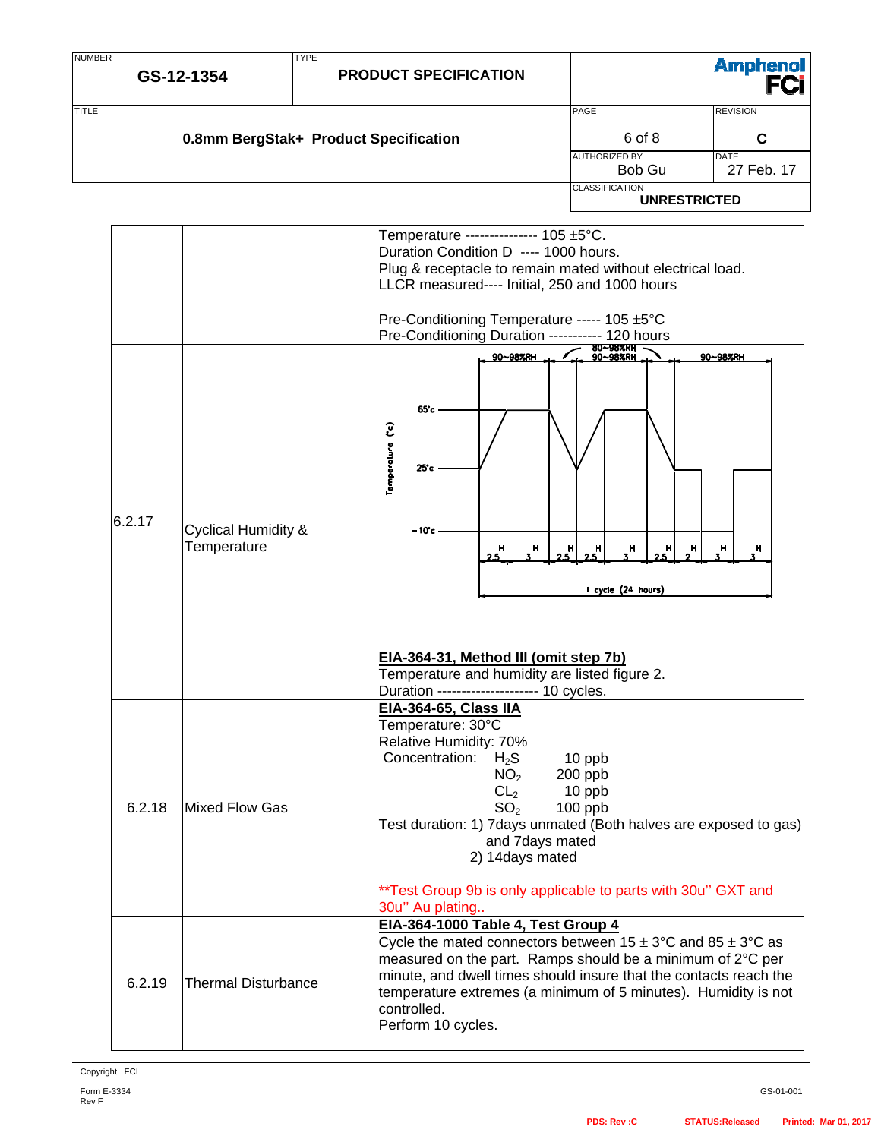| <b>NUMBER</b> | GS-12-1354                                    | <b>TYPE</b> | <b>PRODUCT SPECIFICATION</b>                                                                                                                                                                                                                                                                                                                                                           |                                                                     | <b>Amphenol</b><br>FCi                            |
|---------------|-----------------------------------------------|-------------|----------------------------------------------------------------------------------------------------------------------------------------------------------------------------------------------------------------------------------------------------------------------------------------------------------------------------------------------------------------------------------------|---------------------------------------------------------------------|---------------------------------------------------|
| <b>TITLE</b>  | 0.8mm BergStak+ Product Specification         |             |                                                                                                                                                                                                                                                                                                                                                                                        | PAGE<br>6 of 8<br><b>AUTHORIZED BY</b><br>Bob Gu                    | <b>REVISION</b><br>C<br><b>DATE</b><br>27 Feb. 17 |
|               |                                               |             |                                                                                                                                                                                                                                                                                                                                                                                        | <b>CLASSIFICATION</b><br><b>UNRESTRICTED</b>                        |                                                   |
|               |                                               |             | Temperature --------------- 105 ±5°C.<br>Duration Condition D ---- 1000 hours.<br>Plug & receptacle to remain mated without electrical load.<br>LLCR measured---- Initial, 250 and 1000 hours<br>Pre-Conditioning Temperature ----- 105 ±5°C<br>Pre-Conditioning Duration ----------- 120 hours                                                                                        |                                                                     |                                                   |
| 6.2.17        | <b>Cyclical Humidity &amp;</b><br>Temperature |             | 90~98%RH<br>65°c<br>Temperature (°c)<br>25c<br>– 10°c<br>н<br>н<br>25<br>EIA-364-31, Method III (omit step 7b)<br>Temperature and humidity are listed figure 2.<br>Duration -------------------- 10 cycles.                                                                                                                                                                            | 80~98%RH<br>90~98%RH<br>н<br>н<br>н<br>н<br>н<br>I cycle (24 hours) | 90~98%RH<br>н<br>н                                |
| 6.2.18        | Mixed Flow Gas                                |             | <b>EIA-364-65, Class IIA</b><br>Temperature: 30°C<br>Relative Humidity: 70%<br>Concentration:<br>$H_2S$<br>NO <sub>2</sub><br>CL <sub>2</sub><br>SO <sub>2</sub><br>Test duration: 1) 7 days unmated (Both halves are exposed to gas)<br>and 7days mated<br>2) 14days mated<br>**Test Group 9b is only applicable to parts with 30u" GXT and                                           | 10 ppb<br>200 ppb<br>10 ppb<br>100 ppb                              |                                                   |
| 6.2.19        | <b>Thermal Disturbance</b>                    |             | 30u" Au plating<br>EIA-364-1000 Table 4, Test Group 4<br>Cycle the mated connectors between $15 \pm 3^{\circ}$ C and $85 \pm 3^{\circ}$ C as<br>measured on the part. Ramps should be a minimum of 2°C per<br>minute, and dwell times should insure that the contacts reach the<br>temperature extremes (a minimum of 5 minutes). Humidity is not<br>controlled.<br>Perform 10 cycles. |                                                                     |                                                   |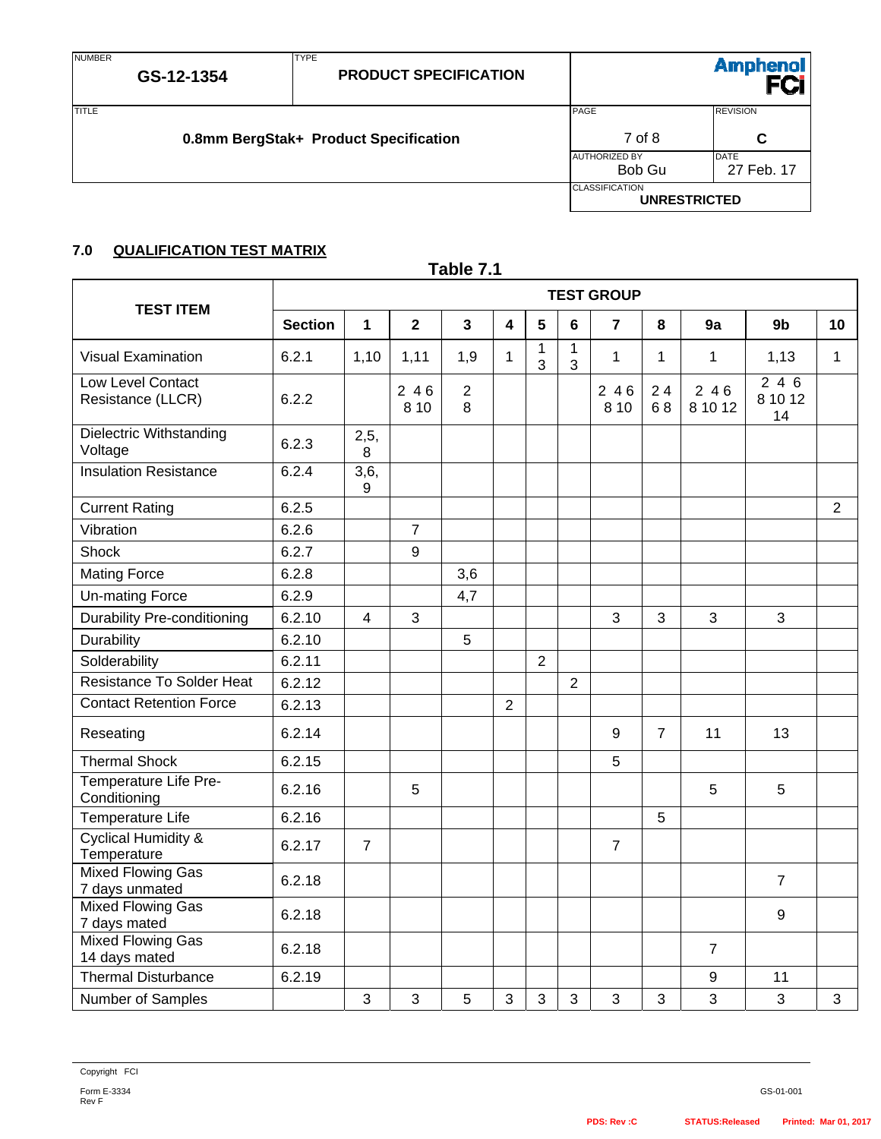NUMBER

TYPE

| -------      |                                       |                       |                     |  |  |
|--------------|---------------------------------------|-----------------------|---------------------|--|--|
| <b>TITLE</b> |                                       | PAGE                  | <b>REVISION</b>     |  |  |
|              | 0.8mm BergStak+ Product Specification | 7 of 8                | C                   |  |  |
|              |                                       | <b>AUTHORIZED BY</b>  | <b>DATE</b>         |  |  |
|              |                                       | Bob Gu                | 27 Feb. 17          |  |  |
|              |                                       | <b>CLASSIFICATION</b> | <b>UNRESTRICTED</b> |  |  |

# **7.0 QUALIFICATION TEST MATRIX**

| Table 7.1                                     |                   |                |                |                     |                |                   |                   |                |                |                  |                      |                |
|-----------------------------------------------|-------------------|----------------|----------------|---------------------|----------------|-------------------|-------------------|----------------|----------------|------------------|----------------------|----------------|
|                                               | <b>TEST GROUP</b> |                |                |                     |                |                   |                   |                |                |                  |                      |                |
| <b>TEST ITEM</b>                              | <b>Section</b>    | $\mathbf 1$    | $\overline{2}$ | $\overline{3}$      | 4              | $5\phantom{1}$    | $6\phantom{a}$    | $\overline{7}$ | 8              | 9a               | 9b                   | 10             |
| <b>Visual Examination</b>                     | 6.2.1             | 1,10           | 1,11           | 1,9                 | $\mathbf{1}$   | $\mathbf{1}$<br>3 | $\mathbf{1}$<br>3 | $\mathbf 1$    | $\mathbf{1}$   | $\mathbf{1}$     | 1,13                 | $\mathbf{1}$   |
| <b>Low Level Contact</b><br>Resistance (LLCR) | 6.2.2             |                | 246<br>8 1 0   | $\overline{2}$<br>8 |                |                   |                   | 246<br>8 1 0   | 24<br>68       | $246$<br>8 10 12 | 246<br>8 10 12<br>14 |                |
| Dielectric Withstanding<br>Voltage            | 6.2.3             | 2,5,<br>8      |                |                     |                |                   |                   |                |                |                  |                      |                |
| <b>Insulation Resistance</b>                  | 6.2.4             | 3,6,<br>9      |                |                     |                |                   |                   |                |                |                  |                      |                |
| <b>Current Rating</b>                         | 6.2.5             |                |                |                     |                |                   |                   |                |                |                  |                      | $\overline{2}$ |
| Vibration                                     | 6.2.6             |                | $\overline{7}$ |                     |                |                   |                   |                |                |                  |                      |                |
| Shock                                         | 6.2.7             |                | 9              |                     |                |                   |                   |                |                |                  |                      |                |
| <b>Mating Force</b>                           | 6.2.8             |                |                | 3,6                 |                |                   |                   |                |                |                  |                      |                |
| <b>Un-mating Force</b>                        | 6.2.9             |                |                | 4,7                 |                |                   |                   |                |                |                  |                      |                |
| <b>Durability Pre-conditioning</b>            | 6.2.10            | 4              | 3              |                     |                |                   |                   | 3              | 3              | 3                | 3                    |                |
| Durability                                    | 6.2.10            |                |                | 5                   |                |                   |                   |                |                |                  |                      |                |
| Solderability                                 | 6.2.11            |                |                |                     |                | $\overline{2}$    |                   |                |                |                  |                      |                |
| <b>Resistance To Solder Heat</b>              | 6.2.12            |                |                |                     |                |                   | $\overline{2}$    |                |                |                  |                      |                |
| <b>Contact Retention Force</b>                | 6.2.13            |                |                |                     | $\overline{2}$ |                   |                   |                |                |                  |                      |                |
| Reseating                                     | 6.2.14            |                |                |                     |                |                   |                   | 9              | $\overline{7}$ | 11               | 13                   |                |
| <b>Thermal Shock</b>                          | 6.2.15            |                |                |                     |                |                   |                   | 5              |                |                  |                      |                |
| Temperature Life Pre-<br>Conditioning         | 6.2.16            |                | 5              |                     |                |                   |                   |                |                | 5                | 5                    |                |
| Temperature Life                              | 6.2.16            |                |                |                     |                |                   |                   |                | 5              |                  |                      |                |
| <b>Cyclical Humidity &amp;</b><br>Temperature | 6.2.17            | $\overline{7}$ |                |                     |                |                   |                   | $\overline{7}$ |                |                  |                      |                |
| <b>Mixed Flowing Gas</b><br>7 days unmated    | 6.2.18            |                |                |                     |                |                   |                   |                |                |                  | $\overline{7}$       |                |
| <b>Mixed Flowing Gas</b><br>7 days mated      | 6.2.18            |                |                |                     |                |                   |                   |                |                |                  | 9                    |                |
| <b>Mixed Flowing Gas</b><br>14 days mated     | 6.2.18            |                |                |                     |                |                   |                   |                |                | $\overline{7}$   |                      |                |
| <b>Thermal Disturbance</b>                    | 6.2.19            |                |                |                     |                |                   |                   |                |                | 9                | 11                   |                |
| Number of Samples                             |                   | 3              | 3              | 5                   | 3              | 3                 | 3                 | 3              | 3              | 3                | 3                    | 3              |

**Amphenol**